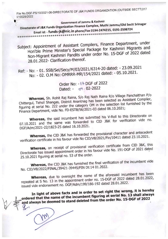File No.DGF-PS/10/2021-06-DIRECTORATE OF J&K FUNDS ORGANIZATION (OUTSIDE SECTT)317 1/10029/2022

Government of Jammu & Kashmir

Directorate of J&K Funds Organization Finance Complex, Muthi Jammu/Old Sectt Srinagar Email id: - funds-jk@nic.in phone/Fax 0194-2474215, 0191-2598724 

Subject: Appointment of Assistant Compilers, Finance Department, under Hon'ble Prime Minister's Special Package for Kashmiri Migrants and Non-Migrant Kashmiri Pandits under order No. 15-DGF of 2022 dated 28.01.2022- Clarification-thereof.

Ref: - No: - 01. SSB/Sel/Secy/M/03/2021/6314-20 dated: - 23.09.2021 No: - 02. O.M No:-DMRRR-MR/154/2021 dated: - 05.10.2021.

> Order No: - I+DGF of 2022 Dated: - 04 - 02-2022

Whereas, Sh. Rohit Raj Raina, S/o Raj Nath Raina R/o Village Panchalthan P/o Chittergul, Tehsil Shangas, District Anantnag has been selected as Assistant Compiler, figuring at serial No. 222 under the category OM in the selection list furnished by the Finance Department, vide No. FD-ESTB/56/2021-03 dated 06.10.2021;

Whereas, the said incumbent has submitted his V-Roll to this Directorate on 07.10.2021 and the same was forwarded to CID J&K for verification vide no. DGF/Adm/2021-22/1823-25 dated 16.10.2021.

Whereas, the CID J&K has forwarded the provisional character and antecedent verification certificate in his favour vide No CID/VB/2021/Fin/10411 dated 23.10.2021.

Whereas, on receipt of provisional verification certificate from CID J&K, this Directorate has issued appointment order in his favour vide No. 191-DGF of 2021 dated 25.10.2021 figuring at serial no. 53 of the order.

Whereas, the CID J&K has furnished the final verification of the incumbent vide No. CID/VB/2022/FINAL/39421-39445/FIN Dt:14 01.2022.

Whereas, due to oversight the name of the aforesaid incumbent has been repeated at S No. 13 in the appointment order no. 15-DGF of 2022 dated 28.01.2022, issued vide endorsement no. DGF/Adm/199/186-192 dated 28.01.2022.

In light of above facts and in order to set right the wrong, it is hereby ordered that the name of the incumbent figuring at serial No. 13 shall always and always be deemed to stand deleted from the order No. 15-DGF of 2022